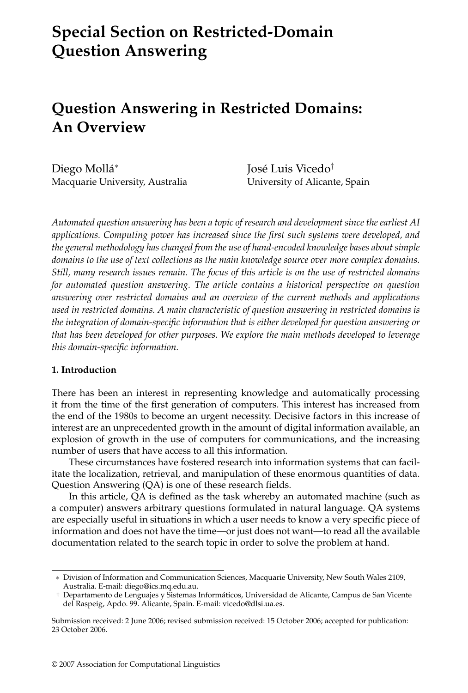# **Special Section on Restricted-Domain Question Answering**

# **Question Answering in Restricted Domains: An Overview**

Diego Mollá<sup>∗</sup> Macquarie University, Australia José Luis Vicedo<sup>†</sup> University of Alicante, Spain

*Automated question answering has been a topic of research and development since the earliest AI applications. Computing power has increased since the first such systems were developed, and the general methodology has changed from the use of hand-encoded knowledge bases about simple domains to the use of text collections as the main knowledge source over more complex domains. Still, many research issues remain. The focus of this article is on the use of restricted domains for automated question answering. The article contains a historical perspective on question answering over restricted domains and an overview of the current methods and applications used in restricted domains. A main characteristic of question answering in restricted domains is the integration of domain-specific information that is either developed for question answering or that has been developed for other purposes. We explore the main methods developed to leverage this domain-specific information.*

#### **1. Introduction**

There has been an interest in representing knowledge and automatically processing it from the time of the first generation of computers. This interest has increased from the end of the 1980s to become an urgent necessity. Decisive factors in this increase of interest are an unprecedented growth in the amount of digital information available, an explosion of growth in the use of computers for communications, and the increasing number of users that have access to all this information.

These circumstances have fostered research into information systems that can facilitate the localization, retrieval, and manipulation of these enormous quantities of data. Question Answering (QA) is one of these research fields.

In this article, QA is defined as the task whereby an automated machine (such as a computer) answers arbitrary questions formulated in natural language. QA systems are especially useful in situations in which a user needs to know a very specific piece of information and does not have the time—or just does not want—to read all the available documentation related to the search topic in order to solve the problem at hand.

<sup>∗</sup> Division of Information and Communication Sciences, Macquarie University, New South Wales 2109, Australia. E-mail: diego@ics.mq.edu.au.

<sup>†</sup> Departamento de Lenguajes y Sistemas Informaticos, Universidad de Alicante, Campus de San Vicente ´ del Raspeig, Apdo. 99. Alicante, Spain. E-mail: vicedo@dlsi.ua.es.

Submission received: 2 June 2006; revised submission received: 15 October 2006; accepted for publication: 23 October 2006.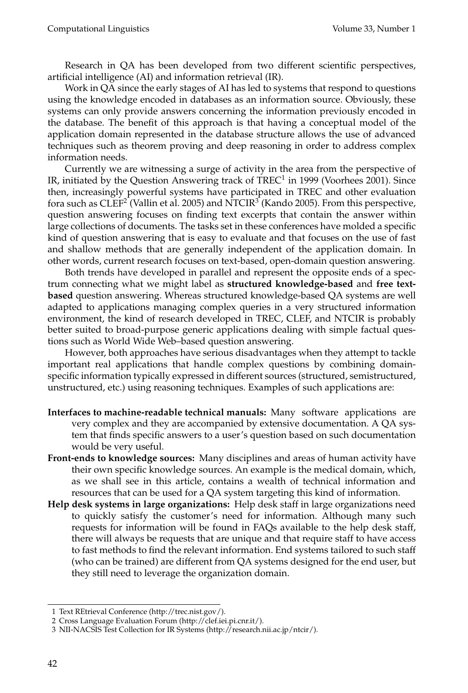Research in QA has been developed from two different scientific perspectives, artificial intelligence (AI) and information retrieval (IR).

Work in QA since the early stages of AI has led to systems that respond to questions using the knowledge encoded in databases as an information source. Obviously, these systems can only provide answers concerning the information previously encoded in the database. The benefit of this approach is that having a conceptual model of the application domain represented in the database structure allows the use of advanced techniques such as theorem proving and deep reasoning in order to address complex information needs.

Currently we are witnessing a surge of activity in the area from the perspective of IR, initiated by the Question Answering track of  $TREC<sup>1</sup>$  in 1999 (Voorhees 2001). Since then, increasingly powerful systems have participated in TREC and other evaluation fora such as  $CLEF<sup>2</sup>$  (Vallin et al. 2005) and NTCIR<sup>3</sup> (Kando 2005). From this perspective, question answering focuses on finding text excerpts that contain the answer within large collections of documents. The tasks set in these conferences have molded a specific kind of question answering that is easy to evaluate and that focuses on the use of fast and shallow methods that are generally independent of the application domain. In other words, current research focuses on text-based, open-domain question answering.

Both trends have developed in parallel and represent the opposite ends of a spectrum connecting what we might label as **structured knowledge-based** and **free textbased** question answering. Whereas structured knowledge-based QA systems are well adapted to applications managing complex queries in a very structured information environment, the kind of research developed in TREC, CLEF, and NTCIR is probably better suited to broad-purpose generic applications dealing with simple factual questions such as World Wide Web–based question answering.

However, both approaches have serious disadvantages when they attempt to tackle important real applications that handle complex questions by combining domainspecific information typically expressed in different sources (structured, semistructured, unstructured, etc.) using reasoning techniques. Examples of such applications are:

- **Interfaces to machine-readable technical manuals:** Many software applications are very complex and they are accompanied by extensive documentation. A QA system that finds specific answers to a user's question based on such documentation would be very useful.
- **Front-ends to knowledge sources:** Many disciplines and areas of human activity have their own specific knowledge sources. An example is the medical domain, which, as we shall see in this article, contains a wealth of technical information and resources that can be used for a QA system targeting this kind of information.
- **Help desk systems in large organizations:** Help desk staff in large organizations need to quickly satisfy the customer's need for information. Although many such requests for information will be found in FAQs available to the help desk staff, there will always be requests that are unique and that require staff to have access to fast methods to find the relevant information. End systems tailored to such staff (who can be trained) are different from QA systems designed for the end user, but they still need to leverage the organization domain.

<sup>1</sup> Text REtrieval Conference (http://trec.nist.gov/).

<sup>2</sup> Cross Language Evaluation Forum (http://clef.iei.pi.cnr.it/).

<sup>3</sup> NII-NACSIS Test Collection for IR Systems (http://research.nii.ac.jp/ntcir/).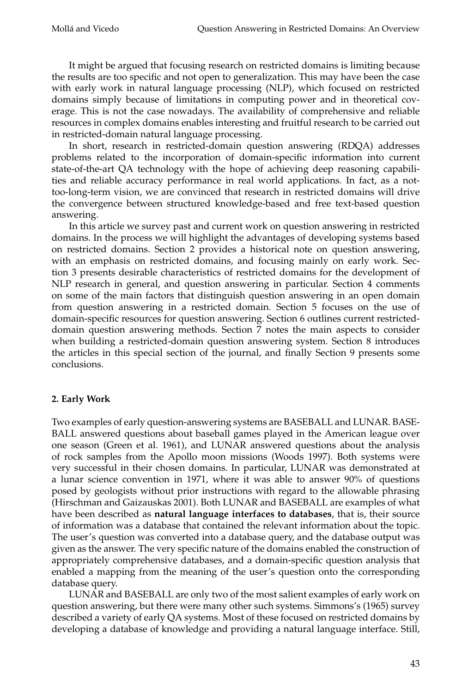It might be argued that focusing research on restricted domains is limiting because the results are too specific and not open to generalization. This may have been the case with early work in natural language processing (NLP), which focused on restricted domains simply because of limitations in computing power and in theoretical coverage. This is not the case nowadays. The availability of comprehensive and reliable resources in complex domains enables interesting and fruitful research to be carried out in restricted-domain natural language processing.

In short, research in restricted-domain question answering (RDQA) addresses problems related to the incorporation of domain-specific information into current state-of-the-art QA technology with the hope of achieving deep reasoning capabilities and reliable accuracy performance in real world applications. In fact, as a nottoo-long-term vision, we are convinced that research in restricted domains will drive the convergence between structured knowledge-based and free text-based question answering.

In this article we survey past and current work on question answering in restricted domains. In the process we will highlight the advantages of developing systems based on restricted domains. Section 2 provides a historical note on question answering, with an emphasis on restricted domains, and focusing mainly on early work. Section 3 presents desirable characteristics of restricted domains for the development of NLP research in general, and question answering in particular. Section 4 comments on some of the main factors that distinguish question answering in an open domain from question answering in a restricted domain. Section 5 focuses on the use of domain-specific resources for question answering. Section 6 outlines current restricteddomain question answering methods. Section 7 notes the main aspects to consider when building a restricted-domain question answering system. Section 8 introduces the articles in this special section of the journal, and finally Section 9 presents some conclusions.

#### **2. Early Work**

Two examples of early question-answering systems are BASEBALL and LUNAR. BASE-BALL answered questions about baseball games played in the American league over one season (Green et al. 1961), and LUNAR answered questions about the analysis of rock samples from the Apollo moon missions (Woods 1997). Both systems were very successful in their chosen domains. In particular, LUNAR was demonstrated at a lunar science convention in 1971, where it was able to answer 90% of questions posed by geologists without prior instructions with regard to the allowable phrasing (Hirschman and Gaizauskas 2001). Both LUNAR and BASEBALL are examples of what have been described as **natural language interfaces to databases**, that is, their source of information was a database that contained the relevant information about the topic. The user's question was converted into a database query, and the database output was given as the answer. The very specific nature of the domains enabled the construction of appropriately comprehensive databases, and a domain-specific question analysis that enabled a mapping from the meaning of the user's question onto the corresponding database query.

LUNAR and BASEBALL are only two of the most salient examples of early work on question answering, but there were many other such systems. Simmons's (1965) survey described a variety of early QA systems. Most of these focused on restricted domains by developing a database of knowledge and providing a natural language interface. Still,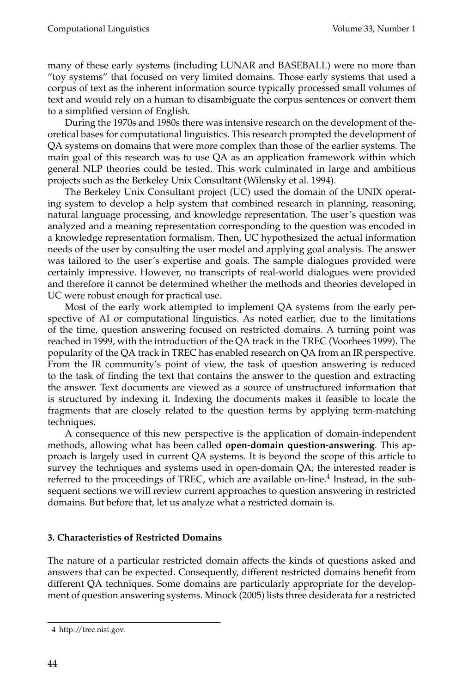many of these early systems (including LUNAR and BASEBALL) were no more than "toy systems" that focused on very limited domains. Those early systems that used a corpus of text as the inherent information source typically processed small volumes of text and would rely on a human to disambiguate the corpus sentences or convert them to a simplified version of English.

During the 1970s and 1980s there was intensive research on the development of theoretical bases for computational linguistics. This research prompted the development of QA systems on domains that were more complex than those of the earlier systems. The main goal of this research was to use QA as an application framework within which general NLP theories could be tested. This work culminated in large and ambitious projects such as the Berkeley Unix Consultant (Wilensky et al. 1994).

The Berkeley Unix Consultant project (UC) used the domain of the UNIX operating system to develop a help system that combined research in planning, reasoning, natural language processing, and knowledge representation. The user's question was analyzed and a meaning representation corresponding to the question was encoded in a knowledge representation formalism. Then, UC hypothesized the actual information needs of the user by consulting the user model and applying goal analysis. The answer was tailored to the user's expertise and goals. The sample dialogues provided were certainly impressive. However, no transcripts of real-world dialogues were provided and therefore it cannot be determined whether the methods and theories developed in UC were robust enough for practical use.

Most of the early work attempted to implement QA systems from the early perspective of AI or computational linguistics. As noted earlier, due to the limitations of the time, question answering focused on restricted domains. A turning point was reached in 1999, with the introduction of the QA track in the TREC (Voorhees 1999). The popularity of the QA track in TREC has enabled research on QA from an IR perspective. From the IR community's point of view, the task of question answering is reduced to the task of finding the text that contains the answer to the question and extracting the answer. Text documents are viewed as a source of unstructured information that is structured by indexing it. Indexing the documents makes it feasible to locate the fragments that are closely related to the question terms by applying term-matching techniques.

A consequence of this new perspective is the application of domain-independent methods, allowing what has been called **open-domain question-answering**. This approach is largely used in current QA systems. It is beyond the scope of this article to survey the techniques and systems used in open-domain QA; the interested reader is referred to the proceedings of TREC, which are available on-line.<sup>4</sup> Instead, in the subsequent sections we will review current approaches to question answering in restricted domains. But before that, let us analyze what a restricted domain is.

#### **3. Characteristics of Restricted Domains**

The nature of a particular restricted domain affects the kinds of questions asked and answers that can be expected. Consequently, different restricted domains benefit from different QA techniques. Some domains are particularly appropriate for the development of question answering systems. Minock (2005) lists three desiderata for a restricted

<sup>4</sup> http://trec.nist.gov.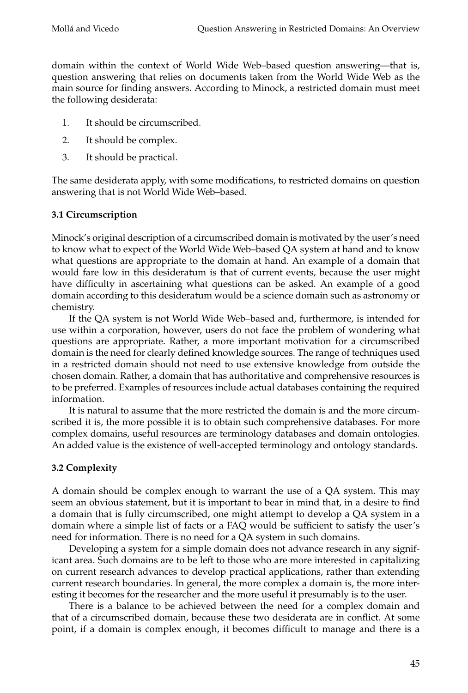domain within the context of World Wide Web–based question answering—that is, question answering that relies on documents taken from the World Wide Web as the main source for finding answers. According to Minock, a restricted domain must meet the following desiderata:

- 1. It should be circumscribed.
- 2. It should be complex.
- 3. It should be practical.

The same desiderata apply, with some modifications, to restricted domains on question answering that is not World Wide Web–based.

## **3.1 Circumscription**

Minock's original description of a circumscribed domain is motivated by the user's need to know what to expect of the World Wide Web–based QA system at hand and to know what questions are appropriate to the domain at hand. An example of a domain that would fare low in this desideratum is that of current events, because the user might have difficulty in ascertaining what questions can be asked. An example of a good domain according to this desideratum would be a science domain such as astronomy or chemistry.

If the QA system is not World Wide Web–based and, furthermore, is intended for use within a corporation, however, users do not face the problem of wondering what questions are appropriate. Rather, a more important motivation for a circumscribed domain is the need for clearly defined knowledge sources. The range of techniques used in a restricted domain should not need to use extensive knowledge from outside the chosen domain. Rather, a domain that has authoritative and comprehensive resources is to be preferred. Examples of resources include actual databases containing the required information.

It is natural to assume that the more restricted the domain is and the more circumscribed it is, the more possible it is to obtain such comprehensive databases. For more complex domains, useful resources are terminology databases and domain ontologies. An added value is the existence of well-accepted terminology and ontology standards.

## **3.2 Complexity**

A domain should be complex enough to warrant the use of a QA system. This may seem an obvious statement, but it is important to bear in mind that, in a desire to find a domain that is fully circumscribed, one might attempt to develop a QA system in a domain where a simple list of facts or a FAQ would be sufficient to satisfy the user's need for information. There is no need for a QA system in such domains.

Developing a system for a simple domain does not advance research in any significant area. Such domains are to be left to those who are more interested in capitalizing on current research advances to develop practical applications, rather than extending current research boundaries. In general, the more complex a domain is, the more interesting it becomes for the researcher and the more useful it presumably is to the user.

There is a balance to be achieved between the need for a complex domain and that of a circumscribed domain, because these two desiderata are in conflict. At some point, if a domain is complex enough, it becomes difficult to manage and there is a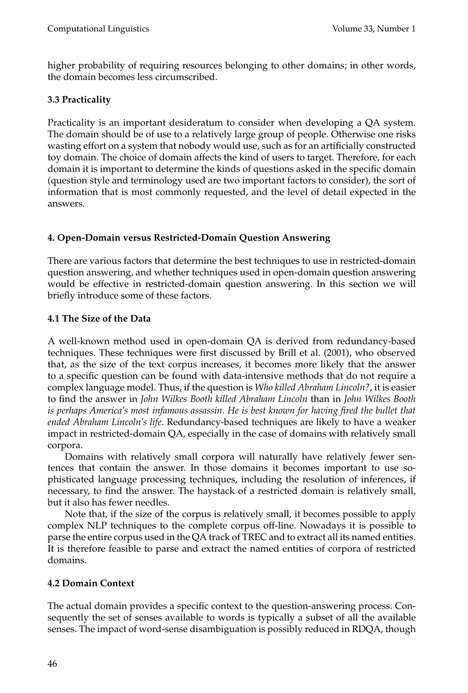higher probability of requiring resources belonging to other domains; in other words, the domain becomes less circumscribed.

## **3.3 Practicality**

Practicality is an important desideratum to consider when developing a QA system. The domain should be of use to a relatively large group of people. Otherwise one risks wasting effort on a system that nobody would use, such as for an artificially constructed toy domain. The choice of domain affects the kind of users to target. Therefore, for each domain it is important to determine the kinds of questions asked in the specific domain (question style and terminology used are two important factors to consider), the sort of information that is most commonly requested, and the level of detail expected in the answers.

## **4. Open-Domain versus Restricted-Domain Question Answering**

There are various factors that determine the best techniques to use in restricted-domain question answering, and whether techniques used in open-domain question answering would be effective in restricted-domain question answering. In this section we will briefly introduce some of these factors.

## **4.1 The Size of the Data**

A well-known method used in open-domain QA is derived from redundancy-based techniques. These techniques were first discussed by Brill et al. (2001), who observed that, as the size of the text corpus increases, it becomes more likely that the answer to a specific question can be found with data-intensive methods that do not require a complex language model. Thus, if the question is *Who killed Abraham Lincoln?*, it is easier to find the answer in *John Wilkes Booth killed Abraham Lincoln* than in *John Wilkes Booth is perhaps America's most infamous assassin. He is best known for having fired the bullet that ended Abraham Lincoln's life*. Redundancy-based techniques are likely to have a weaker impact in restricted-domain QA, especially in the case of domains with relatively small corpora.

Domains with relatively small corpora will naturally have relatively fewer sentences that contain the answer. In those domains it becomes important to use sophisticated language processing techniques, including the resolution of inferences, if necessary, to find the answer. The haystack of a restricted domain is relatively small, but it also has fewer needles.

Note that, if the size of the corpus is relatively small, it becomes possible to apply complex NLP techniques to the complete corpus off-line. Nowadays it is possible to parse the entire corpus used in the QA track of TREC and to extract all its named entities. It is therefore feasible to parse and extract the named entities of corpora of restricted domains.

## **4.2 Domain Context**

The actual domain provides a specific context to the question-answering process. Consequently the set of senses available to words is typically a subset of all the available senses. The impact of word-sense disambiguation is possibly reduced in RDQA, though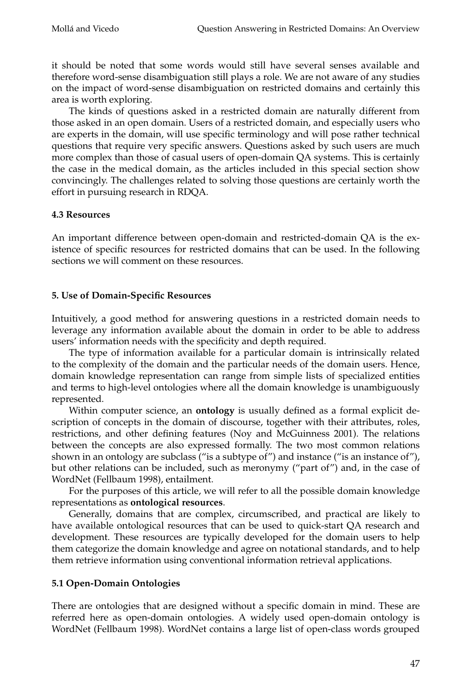it should be noted that some words would still have several senses available and therefore word-sense disambiguation still plays a role. We are not aware of any studies on the impact of word-sense disambiguation on restricted domains and certainly this area is worth exploring.

The kinds of questions asked in a restricted domain are naturally different from those asked in an open domain. Users of a restricted domain, and especially users who are experts in the domain, will use specific terminology and will pose rather technical questions that require very specific answers. Questions asked by such users are much more complex than those of casual users of open-domain QA systems. This is certainly the case in the medical domain, as the articles included in this special section show convincingly. The challenges related to solving those questions are certainly worth the effort in pursuing research in RDQA.

#### **4.3 Resources**

An important difference between open-domain and restricted-domain QA is the existence of specific resources for restricted domains that can be used. In the following sections we will comment on these resources.

#### **5. Use of Domain-Specific Resources**

Intuitively, a good method for answering questions in a restricted domain needs to leverage any information available about the domain in order to be able to address users' information needs with the specificity and depth required.

The type of information available for a particular domain is intrinsically related to the complexity of the domain and the particular needs of the domain users. Hence, domain knowledge representation can range from simple lists of specialized entities and terms to high-level ontologies where all the domain knowledge is unambiguously represented.

Within computer science, an **ontology** is usually defined as a formal explicit description of concepts in the domain of discourse, together with their attributes, roles, restrictions, and other defining features (Noy and McGuinness 2001). The relations between the concepts are also expressed formally. The two most common relations shown in an ontology are subclass ("is a subtype of") and instance ("is an instance of"), but other relations can be included, such as meronymy ("part of") and, in the case of WordNet (Fellbaum 1998), entailment.

For the purposes of this article, we will refer to all the possible domain knowledge representations as **ontological resources**.

Generally, domains that are complex, circumscribed, and practical are likely to have available ontological resources that can be used to quick-start QA research and development. These resources are typically developed for the domain users to help them categorize the domain knowledge and agree on notational standards, and to help them retrieve information using conventional information retrieval applications.

#### **5.1 Open-Domain Ontologies**

There are ontologies that are designed without a specific domain in mind. These are referred here as open-domain ontologies. A widely used open-domain ontology is WordNet (Fellbaum 1998). WordNet contains a large list of open-class words grouped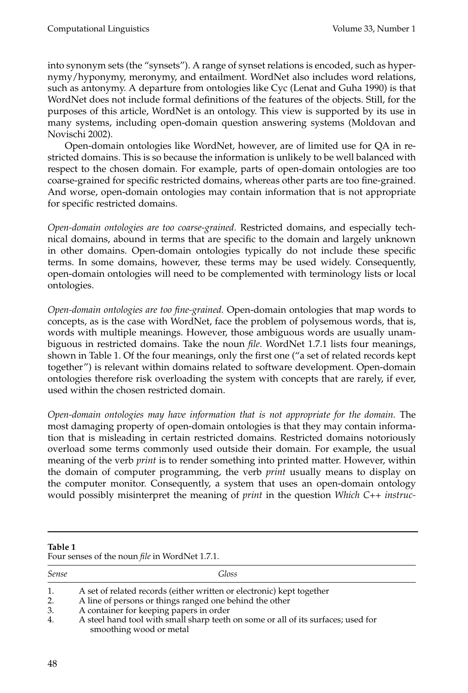into synonym sets (the "synsets"). A range of synset relations is encoded, such as hypernymy/hyponymy, meronymy, and entailment. WordNet also includes word relations, such as antonymy. A departure from ontologies like Cyc (Lenat and Guha 1990) is that WordNet does not include formal definitions of the features of the objects. Still, for the purposes of this article, WordNet is an ontology. This view is supported by its use in many systems, including open-domain question answering systems (Moldovan and Novischi 2002).

Open-domain ontologies like WordNet, however, are of limited use for QA in restricted domains. This is so because the information is unlikely to be well balanced with respect to the chosen domain. For example, parts of open-domain ontologies are too coarse-grained for specific restricted domains, whereas other parts are too fine-grained. And worse, open-domain ontologies may contain information that is not appropriate for specific restricted domains.

*Open-domain ontologies are too coarse-grained.* Restricted domains, and especially technical domains, abound in terms that are specific to the domain and largely unknown in other domains. Open-domain ontologies typically do not include these specific terms. In some domains, however, these terms may be used widely. Consequently, open-domain ontologies will need to be complemented with terminology lists or local ontologies.

*Open-domain ontologies are too fine-grained.* Open-domain ontologies that map words to concepts, as is the case with WordNet, face the problem of polysemous words, that is, words with multiple meanings. However, those ambiguous words are usually unambiguous in restricted domains. Take the noun *file*. WordNet 1.7.1 lists four meanings, shown in Table 1. Of the four meanings, only the first one ("a set of related records kept together") is relevant within domains related to software development. Open-domain ontologies therefore risk overloading the system with concepts that are rarely, if ever, used within the chosen restricted domain.

*Open-domain ontologies may have information that is not appropriate for the domain.* The most damaging property of open-domain ontologies is that they may contain information that is misleading in certain restricted domains. Restricted domains notoriously overload some terms commonly used outside their domain. For example, the usual meaning of the verb *print* is to render something into printed matter. However, within the domain of computer programming, the verb *print* usually means to display on the computer monitor. Consequently, a system that uses an open-domain ontology would possibly misinterpret the meaning of *print* in the question *Which C++ instruc-*

| Four senses of the noun <i>file</i> in WordNet 1.7.1.                             |                                                                                    |
|-----------------------------------------------------------------------------------|------------------------------------------------------------------------------------|
| Gloss                                                                             |                                                                                    |
| A set of related records (either written or electronic) kept together             |                                                                                    |
|                                                                                   |                                                                                    |
| A container for keeping papers in order                                           |                                                                                    |
| A steel hand tool with small sharp teeth on some or all of its surfaces; used for |                                                                                    |
|                                                                                   | A line of persons or things ranged one behind the other<br>smoothing wood or metal |

**Table 1**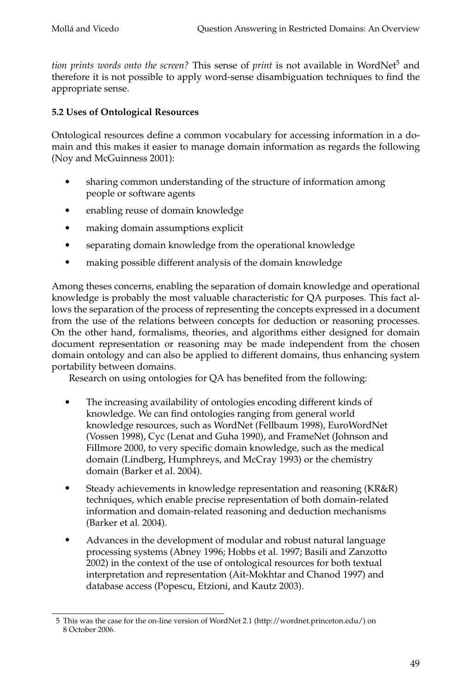*tion prints words onto the screen?* This sense of *print* is not available in WordNet<sup>5</sup> and therefore it is not possible to apply word-sense disambiguation techniques to find the appropriate sense.

#### **5.2 Uses of Ontological Resources**

Ontological resources define a common vocabulary for accessing information in a domain and this makes it easier to manage domain information as regards the following (Noy and McGuinness 2001):

- sharing common understanding of the structure of information among people or software agents
- enabling reuse of domain knowledge
- making domain assumptions explicit
- separating domain knowledge from the operational knowledge
- making possible different analysis of the domain knowledge

Among theses concerns, enabling the separation of domain knowledge and operational knowledge is probably the most valuable characteristic for QA purposes. This fact allows the separation of the process of representing the concepts expressed in a document from the use of the relations between concepts for deduction or reasoning processes. On the other hand, formalisms, theories, and algorithms either designed for domain document representation or reasoning may be made independent from the chosen domain ontology and can also be applied to different domains, thus enhancing system portability between domains.

Research on using ontologies for QA has benefited from the following:

- The increasing availability of ontologies encoding different kinds of knowledge. We can find ontologies ranging from general world knowledge resources, such as WordNet (Fellbaum 1998), EuroWordNet (Vossen 1998), Cyc (Lenat and Guha 1990), and FrameNet (Johnson and Fillmore 2000, to very specific domain knowledge, such as the medical domain (Lindberg, Humphreys, and McCray 1993) or the chemistry domain (Barker et al. 2004).
- Steady achievements in knowledge representation and reasoning (KR&R) techniques, which enable precise representation of both domain-related information and domain-related reasoning and deduction mechanisms (Barker et al. 2004).
- Advances in the development of modular and robust natural language processing systems (Abney 1996; Hobbs et al. 1997; Basili and Zanzotto 2002) in the context of the use of ontological resources for both textual interpretation and representation (Ait-Mokhtar and Chanod 1997) and database access (Popescu, Etzioni, and Kautz 2003).

<sup>5</sup> This was the case for the on-line version of WordNet 2.1 (http://wordnet.princeton.edu/) on 8 October 2006.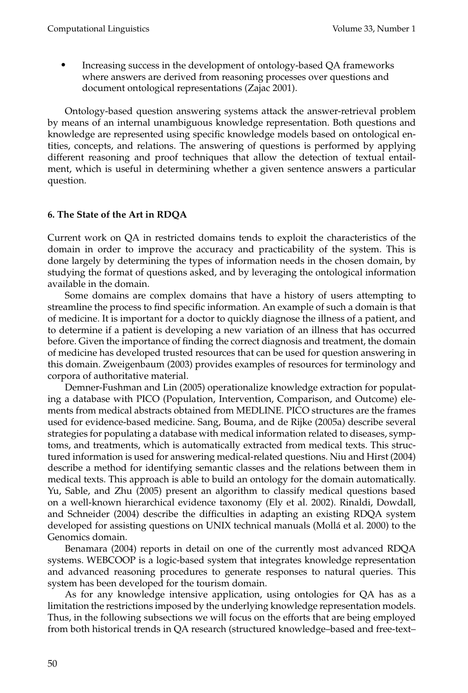Increasing success in the development of ontology-based QA frameworks where answers are derived from reasoning processes over questions and document ontological representations (Zajac 2001).

Ontology-based question answering systems attack the answer-retrieval problem by means of an internal unambiguous knowledge representation. Both questions and knowledge are represented using specific knowledge models based on ontological entities, concepts, and relations. The answering of questions is performed by applying different reasoning and proof techniques that allow the detection of textual entailment, which is useful in determining whether a given sentence answers a particular question.

#### **6. The State of the Art in RDQA**

Current work on QA in restricted domains tends to exploit the characteristics of the domain in order to improve the accuracy and practicability of the system. This is done largely by determining the types of information needs in the chosen domain, by studying the format of questions asked, and by leveraging the ontological information available in the domain.

Some domains are complex domains that have a history of users attempting to streamline the process to find specific information. An example of such a domain is that of medicine. It is important for a doctor to quickly diagnose the illness of a patient, and to determine if a patient is developing a new variation of an illness that has occurred before. Given the importance of finding the correct diagnosis and treatment, the domain of medicine has developed trusted resources that can be used for question answering in this domain. Zweigenbaum (2003) provides examples of resources for terminology and corpora of authoritative material.

Demner-Fushman and Lin (2005) operationalize knowledge extraction for populating a database with PICO (Population, Intervention, Comparison, and Outcome) elements from medical abstracts obtained from MEDLINE. PICO structures are the frames used for evidence-based medicine. Sang, Bouma, and de Rijke (2005a) describe several strategies for populating a database with medical information related to diseases, symptoms, and treatments, which is automatically extracted from medical texts. This structured information is used for answering medical-related questions. Niu and Hirst (2004) describe a method for identifying semantic classes and the relations between them in medical texts. This approach is able to build an ontology for the domain automatically. Yu, Sable, and Zhu (2005) present an algorithm to classify medical questions based on a well-known hierarchical evidence taxonomy (Ely et al. 2002). Rinaldi, Dowdall, and Schneider (2004) describe the difficulties in adapting an existing RDQA system developed for assisting questions on UNIX technical manuals (Molla et al. 2000) to the ´ Genomics domain.

Benamara (2004) reports in detail on one of the currently most advanced RDQA systems. WEBCOOP is a logic-based system that integrates knowledge representation and advanced reasoning procedures to generate responses to natural queries. This system has been developed for the tourism domain.

As for any knowledge intensive application, using ontologies for QA has as a limitation the restrictions imposed by the underlying knowledge representation models. Thus, in the following subsections we will focus on the efforts that are being employed from both historical trends in QA research (structured knowledge–based and free-text–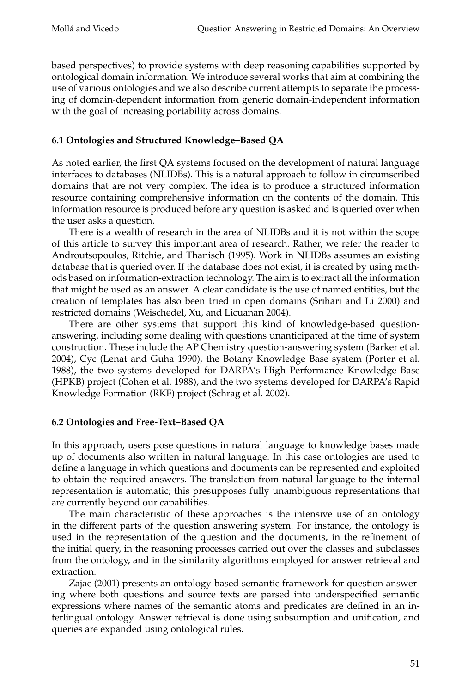based perspectives) to provide systems with deep reasoning capabilities supported by ontological domain information. We introduce several works that aim at combining the use of various ontologies and we also describe current attempts to separate the processing of domain-dependent information from generic domain-independent information with the goal of increasing portability across domains.

#### **6.1 Ontologies and Structured Knowledge–Based QA**

As noted earlier, the first QA systems focused on the development of natural language interfaces to databases (NLIDBs). This is a natural approach to follow in circumscribed domains that are not very complex. The idea is to produce a structured information resource containing comprehensive information on the contents of the domain. This information resource is produced before any question is asked and is queried over when the user asks a question.

There is a wealth of research in the area of NLIDBs and it is not within the scope of this article to survey this important area of research. Rather, we refer the reader to Androutsopoulos, Ritchie, and Thanisch (1995). Work in NLIDBs assumes an existing database that is queried over. If the database does not exist, it is created by using methods based on information-extraction technology. The aim is to extract all the information that might be used as an answer. A clear candidate is the use of named entities, but the creation of templates has also been tried in open domains (Srihari and Li 2000) and restricted domains (Weischedel, Xu, and Licuanan 2004).

There are other systems that support this kind of knowledge-based questionanswering, including some dealing with questions unanticipated at the time of system construction. These include the AP Chemistry question-answering system (Barker et al. 2004), Cyc (Lenat and Guha 1990), the Botany Knowledge Base system (Porter et al. 1988), the two systems developed for DARPA's High Performance Knowledge Base (HPKB) project (Cohen et al. 1988), and the two systems developed for DARPA's Rapid Knowledge Formation (RKF) project (Schrag et al. 2002).

#### **6.2 Ontologies and Free-Text–Based QA**

In this approach, users pose questions in natural language to knowledge bases made up of documents also written in natural language. In this case ontologies are used to define a language in which questions and documents can be represented and exploited to obtain the required answers. The translation from natural language to the internal representation is automatic; this presupposes fully unambiguous representations that are currently beyond our capabilities.

The main characteristic of these approaches is the intensive use of an ontology in the different parts of the question answering system. For instance, the ontology is used in the representation of the question and the documents, in the refinement of the initial query, in the reasoning processes carried out over the classes and subclasses from the ontology, and in the similarity algorithms employed for answer retrieval and extraction.

Zajac (2001) presents an ontology-based semantic framework for question answering where both questions and source texts are parsed into underspecified semantic expressions where names of the semantic atoms and predicates are defined in an interlingual ontology. Answer retrieval is done using subsumption and unification, and queries are expanded using ontological rules.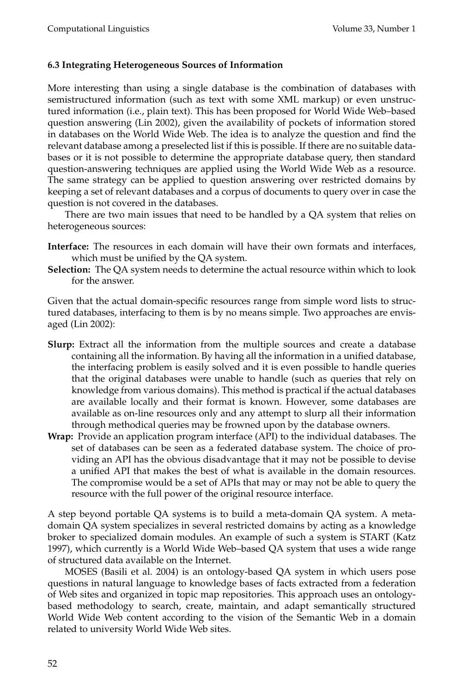#### **6.3 Integrating Heterogeneous Sources of Information**

More interesting than using a single database is the combination of databases with semistructured information (such as text with some XML markup) or even unstructured information (i.e., plain text). This has been proposed for World Wide Web–based question answering (Lin 2002), given the availability of pockets of information stored in databases on the World Wide Web. The idea is to analyze the question and find the relevant database among a preselected list if this is possible. If there are no suitable databases or it is not possible to determine the appropriate database query, then standard question-answering techniques are applied using the World Wide Web as a resource. The same strategy can be applied to question answering over restricted domains by keeping a set of relevant databases and a corpus of documents to query over in case the question is not covered in the databases.

There are two main issues that need to be handled by a QA system that relies on heterogeneous sources:

- **Interface:** The resources in each domain will have their own formats and interfaces, which must be unified by the QA system.
- **Selection:** The QA system needs to determine the actual resource within which to look for the answer.

Given that the actual domain-specific resources range from simple word lists to structured databases, interfacing to them is by no means simple. Two approaches are envisaged (Lin 2002):

- **Slurp:** Extract all the information from the multiple sources and create a database containing all the information. By having all the information in a unified database, the interfacing problem is easily solved and it is even possible to handle queries that the original databases were unable to handle (such as queries that rely on knowledge from various domains). This method is practical if the actual databases are available locally and their format is known. However, some databases are available as on-line resources only and any attempt to slurp all their information through methodical queries may be frowned upon by the database owners.
- **Wrap:** Provide an application program interface (API) to the individual databases. The set of databases can be seen as a federated database system. The choice of providing an API has the obvious disadvantage that it may not be possible to devise a unified API that makes the best of what is available in the domain resources. The compromise would be a set of APIs that may or may not be able to query the resource with the full power of the original resource interface.

A step beyond portable QA systems is to build a meta-domain QA system. A metadomain QA system specializes in several restricted domains by acting as a knowledge broker to specialized domain modules. An example of such a system is START (Katz 1997), which currently is a World Wide Web–based QA system that uses a wide range of structured data available on the Internet.

MOSES (Basili et al. 2004) is an ontology-based QA system in which users pose questions in natural language to knowledge bases of facts extracted from a federation of Web sites and organized in topic map repositories. This approach uses an ontologybased methodology to search, create, maintain, and adapt semantically structured World Wide Web content according to the vision of the Semantic Web in a domain related to university World Wide Web sites.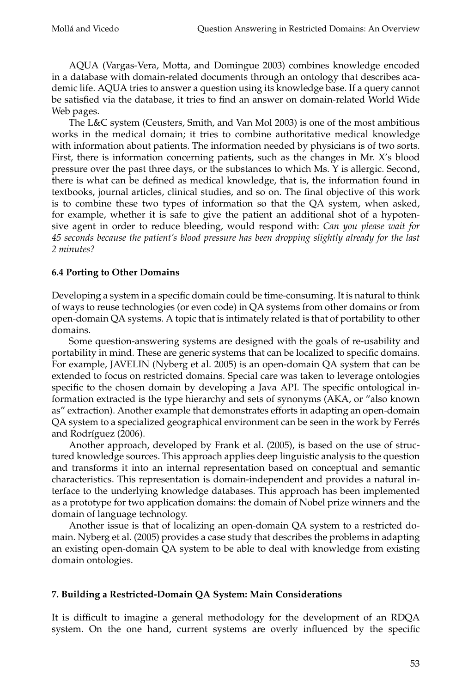AQUA (Vargas-Vera, Motta, and Domingue 2003) combines knowledge encoded in a database with domain-related documents through an ontology that describes academic life. AQUA tries to answer a question using its knowledge base. If a query cannot be satisfied via the database, it tries to find an answer on domain-related World Wide Web pages.

The L&C system (Ceusters, Smith, and Van Mol 2003) is one of the most ambitious works in the medical domain; it tries to combine authoritative medical knowledge with information about patients. The information needed by physicians is of two sorts. First, there is information concerning patients, such as the changes in Mr. X's blood pressure over the past three days, or the substances to which Ms. Y is allergic. Second, there is what can be defined as medical knowledge, that is, the information found in textbooks, journal articles, clinical studies, and so on. The final objective of this work is to combine these two types of information so that the QA system, when asked, for example, whether it is safe to give the patient an additional shot of a hypotensive agent in order to reduce bleeding, would respond with: *Can you please wait for 45 seconds because the patient's blood pressure has been dropping slightly already for the last 2 minutes?*

#### **6.4 Porting to Other Domains**

Developing a system in a specific domain could be time-consuming. It is natural to think of ways to reuse technologies (or even code) in QA systems from other domains or from open-domain QA systems. A topic that is intimately related is that of portability to other domains.

Some question-answering systems are designed with the goals of re-usability and portability in mind. These are generic systems that can be localized to specific domains. For example, JAVELIN (Nyberg et al. 2005) is an open-domain QA system that can be extended to focus on restricted domains. Special care was taken to leverage ontologies specific to the chosen domain by developing a Java API. The specific ontological information extracted is the type hierarchy and sets of synonyms (AKA, or "also known as" extraction). Another example that demonstrates efforts in adapting an open-domain QA system to a specialized geographical environment can be seen in the work by Ferres´ and Rodríguez (2006).

Another approach, developed by Frank et al. (2005), is based on the use of structured knowledge sources. This approach applies deep linguistic analysis to the question and transforms it into an internal representation based on conceptual and semantic characteristics. This representation is domain-independent and provides a natural interface to the underlying knowledge databases. This approach has been implemented as a prototype for two application domains: the domain of Nobel prize winners and the domain of language technology.

Another issue is that of localizing an open-domain QA system to a restricted domain. Nyberg et al. (2005) provides a case study that describes the problems in adapting an existing open-domain QA system to be able to deal with knowledge from existing domain ontologies.

#### **7. Building a Restricted-Domain QA System: Main Considerations**

It is difficult to imagine a general methodology for the development of an RDQA system. On the one hand, current systems are overly influenced by the specific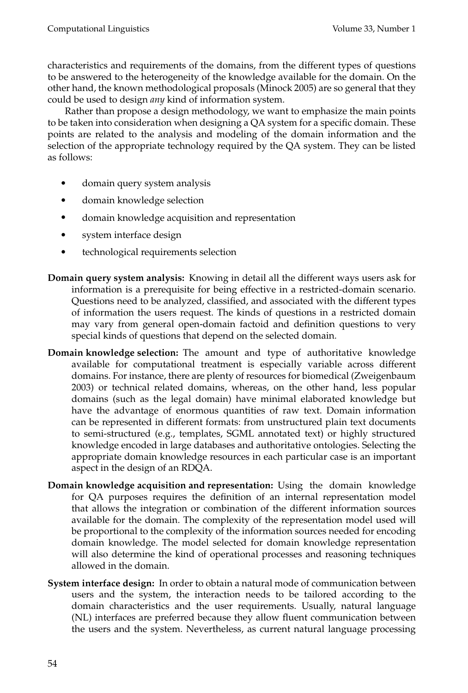characteristics and requirements of the domains, from the different types of questions to be answered to the heterogeneity of the knowledge available for the domain. On the other hand, the known methodological proposals (Minock 2005) are so general that they could be used to design *any* kind of information system.

Rather than propose a design methodology, we want to emphasize the main points to be taken into consideration when designing a QA system for a specific domain. These points are related to the analysis and modeling of the domain information and the selection of the appropriate technology required by the QA system. They can be listed as follows:

- domain query system analysis
- domain knowledge selection
- domain knowledge acquisition and representation
- system interface design
- technological requirements selection
- **Domain query system analysis:** Knowing in detail all the different ways users ask for information is a prerequisite for being effective in a restricted-domain scenario. Questions need to be analyzed, classified, and associated with the different types of information the users request. The kinds of questions in a restricted domain may vary from general open-domain factoid and definition questions to very special kinds of questions that depend on the selected domain.
- **Domain knowledge selection:** The amount and type of authoritative knowledge available for computational treatment is especially variable across different domains. For instance, there are plenty of resources for biomedical (Zweigenbaum 2003) or technical related domains, whereas, on the other hand, less popular domains (such as the legal domain) have minimal elaborated knowledge but have the advantage of enormous quantities of raw text. Domain information can be represented in different formats: from unstructured plain text documents to semi-structured (e.g., templates, SGML annotated text) or highly structured knowledge encoded in large databases and authoritative ontologies. Selecting the appropriate domain knowledge resources in each particular case is an important aspect in the design of an RDQA.
- **Domain knowledge acquisition and representation:** Using the domain knowledge for QA purposes requires the definition of an internal representation model that allows the integration or combination of the different information sources available for the domain. The complexity of the representation model used will be proportional to the complexity of the information sources needed for encoding domain knowledge. The model selected for domain knowledge representation will also determine the kind of operational processes and reasoning techniques allowed in the domain.
- **System interface design:** In order to obtain a natural mode of communication between users and the system, the interaction needs to be tailored according to the domain characteristics and the user requirements. Usually, natural language (NL) interfaces are preferred because they allow fluent communication between the users and the system. Nevertheless, as current natural language processing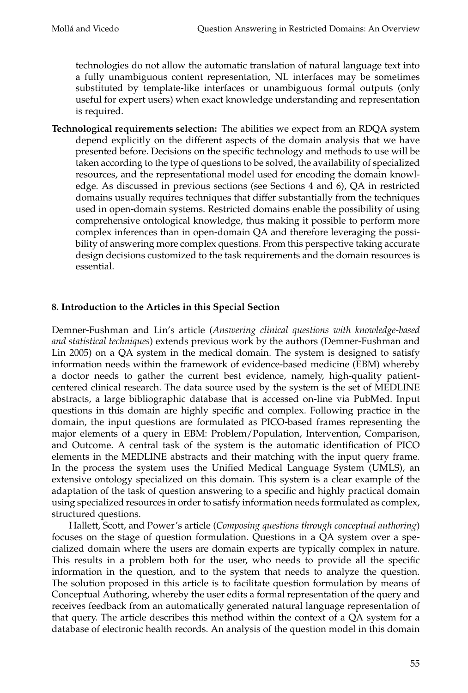technologies do not allow the automatic translation of natural language text into a fully unambiguous content representation, NL interfaces may be sometimes substituted by template-like interfaces or unambiguous formal outputs (only useful for expert users) when exact knowledge understanding and representation is required.

**Technological requirements selection:** The abilities we expect from an RDQA system depend explicitly on the different aspects of the domain analysis that we have presented before. Decisions on the specific technology and methods to use will be taken according to the type of questions to be solved, the availability of specialized resources, and the representational model used for encoding the domain knowledge. As discussed in previous sections (see Sections 4 and 6), QA in restricted domains usually requires techniques that differ substantially from the techniques used in open-domain systems. Restricted domains enable the possibility of using comprehensive ontological knowledge, thus making it possible to perform more complex inferences than in open-domain QA and therefore leveraging the possibility of answering more complex questions. From this perspective taking accurate design decisions customized to the task requirements and the domain resources is essential.

#### **8. Introduction to the Articles in this Special Section**

Demner-Fushman and Lin's article (*Answering clinical questions with knowledge-based and statistical techniques*) extends previous work by the authors (Demner-Fushman and Lin 2005) on a QA system in the medical domain. The system is designed to satisfy information needs within the framework of evidence-based medicine (EBM) whereby a doctor needs to gather the current best evidence, namely, high-quality patientcentered clinical research. The data source used by the system is the set of MEDLINE abstracts, a large bibliographic database that is accessed on-line via PubMed. Input questions in this domain are highly specific and complex. Following practice in the domain, the input questions are formulated as PICO-based frames representing the major elements of a query in EBM: Problem/Population, Intervention, Comparison, and Outcome. A central task of the system is the automatic identification of PICO elements in the MEDLINE abstracts and their matching with the input query frame. In the process the system uses the Unified Medical Language System (UMLS), an extensive ontology specialized on this domain. This system is a clear example of the adaptation of the task of question answering to a specific and highly practical domain using specialized resources in order to satisfy information needs formulated as complex, structured questions.

Hallett, Scott, and Power's article (*Composing questions through conceptual authoring*) focuses on the stage of question formulation. Questions in a QA system over a specialized domain where the users are domain experts are typically complex in nature. This results in a problem both for the user, who needs to provide all the specific information in the question, and to the system that needs to analyze the question. The solution proposed in this article is to facilitate question formulation by means of Conceptual Authoring, whereby the user edits a formal representation of the query and receives feedback from an automatically generated natural language representation of that query. The article describes this method within the context of a QA system for a database of electronic health records. An analysis of the question model in this domain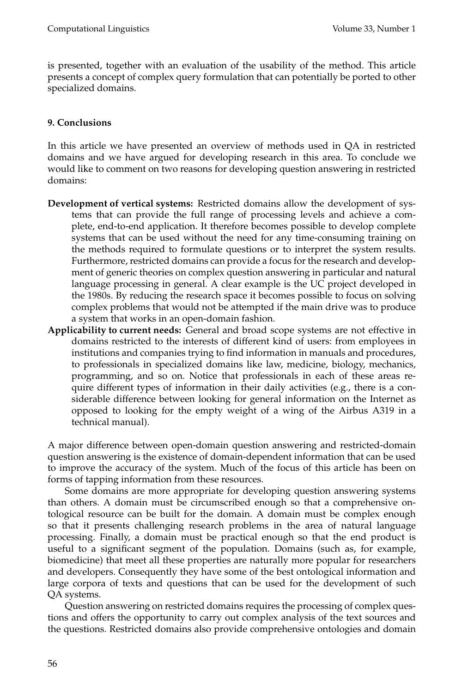is presented, together with an evaluation of the usability of the method. This article presents a concept of complex query formulation that can potentially be ported to other specialized domains.

#### **9. Conclusions**

In this article we have presented an overview of methods used in QA in restricted domains and we have argued for developing research in this area. To conclude we would like to comment on two reasons for developing question answering in restricted domains:

- **Development of vertical systems:** Restricted domains allow the development of systems that can provide the full range of processing levels and achieve a complete, end-to-end application. It therefore becomes possible to develop complete systems that can be used without the need for any time-consuming training on the methods required to formulate questions or to interpret the system results. Furthermore, restricted domains can provide a focus for the research and development of generic theories on complex question answering in particular and natural language processing in general. A clear example is the UC project developed in the 1980s. By reducing the research space it becomes possible to focus on solving complex problems that would not be attempted if the main drive was to produce a system that works in an open-domain fashion.
- **Applicability to current needs:** General and broad scope systems are not effective in domains restricted to the interests of different kind of users: from employees in institutions and companies trying to find information in manuals and procedures, to professionals in specialized domains like law, medicine, biology, mechanics, programming, and so on. Notice that professionals in each of these areas require different types of information in their daily activities (e.g., there is a considerable difference between looking for general information on the Internet as opposed to looking for the empty weight of a wing of the Airbus A319 in a technical manual).

A major difference between open-domain question answering and restricted-domain question answering is the existence of domain-dependent information that can be used to improve the accuracy of the system. Much of the focus of this article has been on forms of tapping information from these resources.

Some domains are more appropriate for developing question answering systems than others. A domain must be circumscribed enough so that a comprehensive ontological resource can be built for the domain. A domain must be complex enough so that it presents challenging research problems in the area of natural language processing. Finally, a domain must be practical enough so that the end product is useful to a significant segment of the population. Domains (such as, for example, biomedicine) that meet all these properties are naturally more popular for researchers and developers. Consequently they have some of the best ontological information and large corpora of texts and questions that can be used for the development of such QA systems.

Question answering on restricted domains requires the processing of complex questions and offers the opportunity to carry out complex analysis of the text sources and the questions. Restricted domains also provide comprehensive ontologies and domain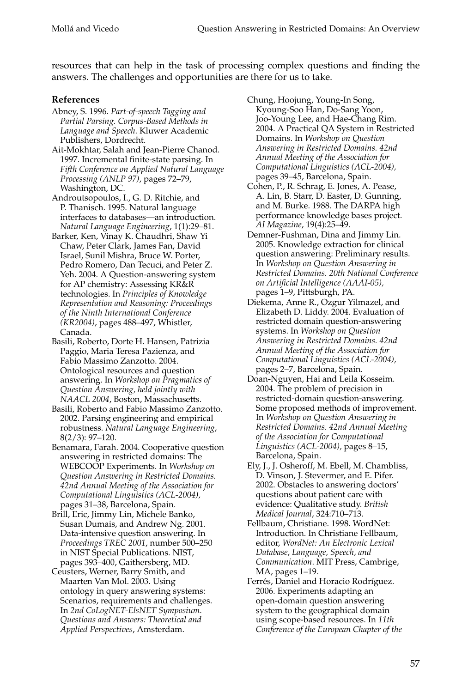resources that can help in the task of processing complex questions and finding the answers. The challenges and opportunities are there for us to take.

#### **References**

- Abney, S. 1996. *Part-of-speech Tagging and Partial Parsing. Corpus-Based Methods in Language and Speech*. Kluwer Academic Publishers, Dordrecht.
- Ait-Mokhtar, Salah and Jean-Pierre Chanod. 1997. Incremental finite-state parsing. In *Fifth Conference on Applied Natural Language Processing (ANLP 97)*, pages 72–79, Washington, DC.
- Androutsopoulos, I., G. D. Ritchie, and P. Thanisch. 1995. Natural language interfaces to databases—an introduction. *Natural Language Engineering*, 1(1):29–81.
- Barker, Ken, Vinay K. Chaudhri, Shaw Yi Chaw, Peter Clark, James Fan, David Israel, Sunil Mishra, Bruce W. Porter, Pedro Romero, Dan Tecuci, and Peter Z. Yeh. 2004. A Question-answering system for AP chemistry: Assessing KR&R technologies. In *Principles of Knowledge Representation and Reasoning: Proceedings of the Ninth International Conference (KR2004)*, pages 488–497, Whistler, Canada.
- Basili, Roberto, Dorte H. Hansen, Patrizia Paggio, Maria Teresa Pazienza, and Fabio Massimo Zanzotto. 2004. Ontological resources and question answering. In *Workshop on Pragmatics of Question Answering, held jointly with NAACL 2004*, Boston, Massachusetts.
- Basili, Roberto and Fabio Massimo Zanzotto. 2002. Parsing engineering and empirical robustness. *Natural Language Engineering*, 8(2/3): 97–120.
- Benamara, Farah. 2004. Cooperative question answering in restricted domains: The WEBCOOP Experiments. In *Workshop on Question Answering in Restricted Domains. 42nd Annual Meeting of the Association for Computational Linguistics (ACL-2004),* pages 31–38, Barcelona, Spain.
- Brill, Eric, Jimmy Lin, Michele Banko, Susan Dumais, and Andrew Ng. 2001. Data-intensive question answering. In *Proceedings TREC 2001*, number 500–250 in NIST Special Publications. NIST, pages 393–400, Gaithersberg, MD.
- Ceusters, Werner, Barry Smith, and Maarten Van Mol. 2003. Using ontology in query answering systems: Scenarios, requirements and challenges. In *2nd CoLogNET-ElsNET Symposium. Questions and Answers: Theoretical and Applied Perspectives*, Amsterdam.

Chung, Hoojung, Young-In Song, Kyoung-Soo Han, Do-Sang Yoon, Joo-Young Lee, and Hae-Chang Rim. 2004. A Practical QA System in Restricted Domains. In *Workshop on Question Answering in Restricted Domains. 42nd Annual Meeting of the Association for Computational Linguistics (ACL-2004),* pages 39–45, Barcelona, Spain.

- Cohen, P., R. Schrag, E. Jones, A. Pease, A. Lin, B. Starr, D. Easter, D. Gunning, and M. Burke. 1988. The DARPA high performance knowledge bases project. *AI Magazine*, 19(4):25–49.
- Demner-Fushman, Dina and Jimmy Lin. 2005. Knowledge extraction for clinical question answering: Preliminary results. In *Workshop on Question Answering in Restricted Domains. 20th National Conference on Artificial Intelligence (AAAI-05),* pages 1–9, Pittsburgh, PA.
- Diekema, Anne R., Ozgur Yilmazel, and Elizabeth D. Liddy. 2004. Evaluation of restricted domain question-answering systems. In *Workshop on Question Answering in Restricted Domains. 42nd Annual Meeting of the Association for Computational Linguistics (ACL-2004),* pages 2–7, Barcelona, Spain.
- Doan-Nguyen, Hai and Leila Kosseim. 2004. The problem of precision in restricted-domain question-answering. Some proposed methods of improvement. In *Workshop on Question Answering in Restricted Domains. 42nd Annual Meeting of the Association for Computational Linguistics (ACL-2004),* pages 8–15, Barcelona, Spain.
- Ely, J., J. Osheroff, M. Ebell, M. Chambliss, D. Vinson, J. Stevermer, and E. Pifer. 2002. Obstacles to answering doctors' questions about patient care with evidence: Qualitative study. *British Medical Journal*, 324:710–713.
- Fellbaum, Christiane. 1998. WordNet: Introduction. In Christiane Fellbaum, editor, *WordNet: An Electronic Lexical Database*, *Language, Speech, and Communication*. MIT Press, Cambrige, MA, pages 1–19.
- Ferrés, Daniel and Horacio Rodríguez. 2006. Experiments adapting an open-domain question answering system to the geographical domain using scope-based resources. In *11th Conference of the European Chapter of the*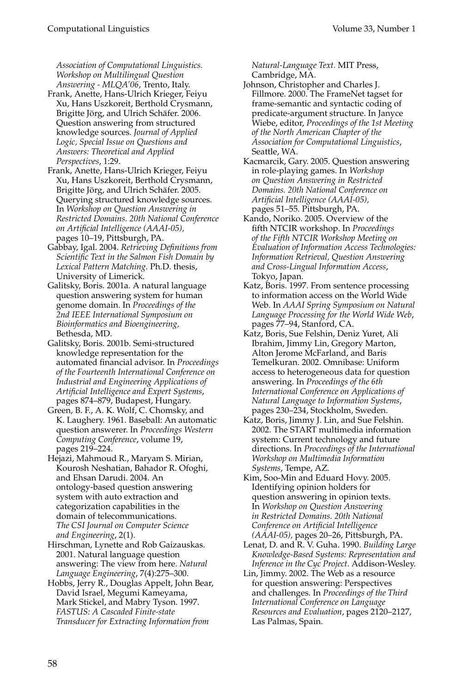*Association of Computational Linguistics. Workshop on Multilingual Question Answering - MLQA'06*, Trento, Italy.

- Frank, Anette, Hans-Ulrich Krieger, Feiyu Xu, Hans Uszkoreit, Berthold Crysmann, Brigitte Jörg, and Ulrich Schäfer. 2006. Question answering from structured knowledge sources. *Journal of Applied Logic, Special Issue on Questions and Answers: Theoretical and Applied Perspectives*, 1:29.
- Frank, Anette, Hans-Ulrich Krieger, Feiyu Xu, Hans Uszkoreit, Berthold Crysmann, Brigitte Jörg, and Ulrich Schäfer. 2005. Querying structured knowledge sources. In *Workshop on Question Answering in Restricted Domains. 20th National Conference on Artificial Intelligence (AAAI-05),* pages 10–19, Pittsburgh, PA.
- Gabbay, Igal. 2004. *Retrieving Definitions from Scientific Text in the Salmon Fish Domain by Lexical Pattern Matching*. Ph.D. thesis, University of Limerick.
- Galitsky, Boris. 2001a. A natural language question answering system for human genome domain. In *Proceedings of the 2nd IEEE International Symposium on Bioinformatics and Bioengineering,* Bethesda, MD.
- Galitsky, Boris. 2001b. Semi-structured knowledge representation for the automated financial advisor. In *Proceedings of the Fourteenth International Conference on Industrial and Engineering Applications of Artificial Intelligence and Expert Systems*, pages 874–879, Budapest, Hungary.
- Green, B. F., A. K. Wolf, C. Chomsky, and K. Laughery. 1961. Baseball: An automatic question answerer. In *Proceedings Western Computing Conference*, volume 19, pages 219–224.
- Hejazi, Mahmoud R., Maryam S. Mirian, Kourosh Neshatian, Bahador R. Ofoghi, and Ehsan Darudi. 2004. An ontology-based question answering system with auto extraction and categorization capabilities in the domain of telecommunications. *The CSI Journal on Computer Science and Engineering*, 2(1).
- Hirschman, Lynette and Rob Gaizauskas. 2001. Natural language question answering: The view from here. *Natural Language Engineering*, 7(4):275–300.
- Hobbs, Jerry R., Douglas Appelt, John Bear, David Israel, Megumi Kameyama, Mark Stickel, and Mabry Tyson. 1997. *FASTUS: A Cascaded Finite-state Transducer for Extracting Information from*

*Natural-Language Text.* MIT Press, Cambridge, MA.

- Johnson, Christopher and Charles J. Fillmore. 2000. The FrameNet tagset for frame-semantic and syntactic coding of predicate-argument structure. In Janyce Wiebe, editor, *Proceedings of the 1st Meeting of the North American Chapter of the Association for Computational Linguistics*, Seattle, WA.
- Kacmarcik, Gary. 2005. Question answering in role-playing games. In *Workshop on Question Answering in Restricted Domains. 20th National Conference on Artificial Intelligence (AAAI-05),* pages 51–55. Pittsburgh, PA.
- Kando, Noriko. 2005. Overview of the fifth NTCIR workshop. In *Proceedings of the Fifth NTCIR Workshop Meeting on Evaluation of Information Access Technologies: Information Retrieval, Question Answering and Cross-Lingual Information Access*, Tokyo, Japan.
- Katz, Boris. 1997. From sentence processing to information access on the World Wide Web. In *AAAI Spring Symposium on Natural Language Processing for the World Wide Web*, pages 77–94, Stanford, CA.
- Katz, Boris, Sue Felshin, Deniz Yuret, Ali Ibrahim, Jimmy Lin, Gregory Marton, Alton Jerome McFarland, and Baris Temelkuran. 2002. Omnibase: Uniform access to heterogeneous data for question answering. In *Proceedings of the 6th International Conference on Applications of Natural Language to Information Systems*, pages 230–234, Stockholm, Sweden.
- Katz, Boris, Jimmy J. Lin, and Sue Felshin. 2002. The START multimedia information system: Current technology and future directions. In *Proceedings of the International Workshop on Multimedia Information Systems*, Tempe, AZ.
- Kim, Soo-Min and Eduard Hovy. 2005. Identifying opinion holders for question answering in opinion texts. In *Workshop on Question Answering in Restricted Domains. 20th National Conference on Artificial Intelligence (AAAI-05),* pages 20–26, Pittsburgh, PA.
- Lenat, D. and R. V. Guha. 1990. *Building Large Knowledge-Based Systems: Representation and Inference in the Cyc Project*. Addison-Wesley.
- Lin, Jimmy. 2002. The Web as a resource for question answering: Perspectives and challenges. In *Proceedings of the Third International Conference on Language Resources and Evaluation*, pages 2120–2127, Las Palmas, Spain.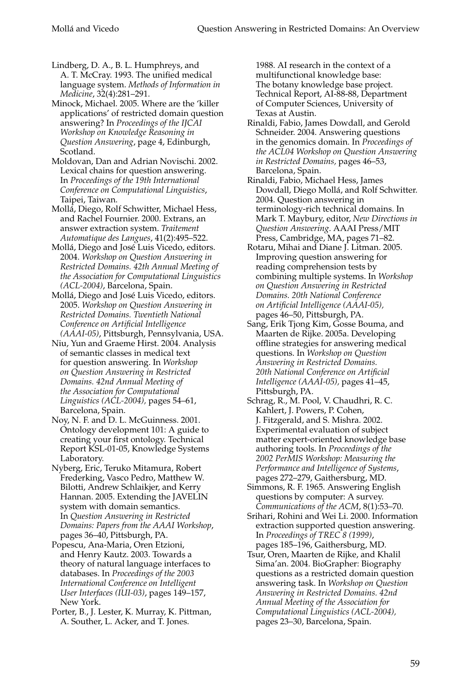Lindberg, D. A., B. L. Humphreys, and A. T. McCray. 1993. The unified medical language system. *Methods of Information in Medicine*, 32(4):281–291.

Minock, Michael. 2005. Where are the 'killer applications' of restricted domain question answering? In *Proceedings of the IJCAI Workshop on Knowledge Reasoning in Question Answering*, page 4, Edinburgh, Scotland.

Moldovan, Dan and Adrian Novischi. 2002. Lexical chains for question answering. In *Proceedings of the 19th International Conference on Computational Linguistics*, Taipei, Taiwan.

Molla, Diego, Rolf Schwitter, Michael Hess, ´ and Rachel Fournier. 2000. Extrans, an answer extraction system. *Traitement Automatique des Langues*, 41(2):495–522.

Mollá, Diego and José Luis Vicedo, editors. 2004. *Workshop on Question Answering in Restricted Domains. 42th Annual Meeting of the Association for Computational Linguistics (ACL-2004)*, Barcelona, Spain.

Mollá, Diego and José Luis Vicedo, editors. 2005. *Workshop on Question Answering in Restricted Domains. Twentieth National Conference on Artificial Intelligence (AAAI-05)*, Pittsburgh, Pennsylvania, USA.

Niu, Yun and Graeme Hirst. 2004. Analysis of semantic classes in medical text for question answering. In *Workshop on Question Answering in Restricted Domains. 42nd Annual Meeting of the Association for Computational Linguistics (ACL-2004),* pages 54–61, Barcelona, Spain.

Noy, N. F. and D. L. McGuinness. 2001. Ontology development 101: A guide to creating your first ontology. Technical Report KSL-01-05, Knowledge Systems Laboratory.

Nyberg, Eric, Teruko Mitamura, Robert Frederking, Vasco Pedro, Matthew W. Bilotti, Andrew Schlaikjer, and Kerry Hannan. 2005. Extending the JAVELIN system with domain semantics. In *Question Answering in Restricted Domains: Papers from the AAAI Workshop*, pages 36–40, Pittsburgh, PA.

Popescu, Ana-Maria, Oren Etzioni, and Henry Kautz. 2003. Towards a theory of natural language interfaces to databases. In *Proceedings of the 2003 International Conference on Intelligent User Interfaces (IUI-03)*, pages 149–157, New York.

Porter, B., J. Lester, K. Murray, K. Pittman, A. Souther, L. Acker, and T. Jones.

1988. AI research in the context of a multifunctional knowledge base: The botany knowledge base project. Technical Report, AI-88-88, Department of Computer Sciences, University of Texas at Austin.

Rinaldi, Fabio, James Dowdall, and Gerold Schneider. 2004. Answering questions in the genomics domain. In *Proceedings of the ACL04 Workshop on Question Answering in Restricted Domains,* pages 46–53, Barcelona, Spain.

Rinaldi, Fabio, Michael Hess, James Dowdall, Diego Mollá, and Rolf Schwitter. 2004. Question answering in terminology-rich technical domains. In Mark T. Maybury, editor, *New Directions in Question Answering*. AAAI Press/MIT Press, Cambridge, MA, pages 71–82.

Rotaru, Mihai and Diane J. Litman. 2005. Improving question answering for reading comprehension tests by combining multiple systems. In *Workshop on Question Answering in Restricted Domains. 20th National Conference on Artificial Intelligence (AAAI-05),* pages 46–50, Pittsburgh, PA.

Sang, Erik Tjong Kim, Gosse Bouma, and Maarten de Rijke. 2005a. Developing offline strategies for answering medical questions. In *Workshop on Question Answering in Restricted Domains. 20th National Conference on Artificial Intelligence (AAAI-05),* pages 41–45, Pittsburgh, PA.

Schrag, R., M. Pool, V. Chaudhri, R. C. Kahlert, J. Powers, P. Cohen, J. Fitzgerald, and S. Mishra. 2002. Experimental evaluation of subject matter expert-oriented knowledge base authoring tools. In *Proceedings of the 2002 PerMIS Workshop: Measuring the Performance and Intelligence of Systems*, pages 272–279, Gaithersburg, MD.

Simmons, R. F. 1965. Answering English questions by computer: A survey. *Communications of the ACM*, 8(1):53–70.

Srihari, Rohini and Wei Li. 2000. Information extraction supported question answering. In *Proceedings of TREC 8 (1999)*, pages 185–196, Gaithersburg, MD.

Tsur, Oren, Maarten de Rijke, and Khalil Sima'an. 2004. BioGrapher: Biography questions as a restricted domain question answering task. In *Workshop on Question Answering in Restricted Domains. 42nd Annual Meeting of the Association for Computational Linguistics (ACL-2004),* pages 23–30, Barcelona, Spain.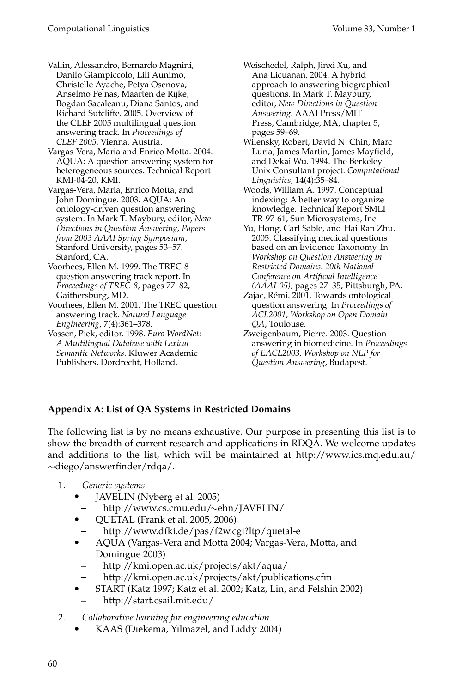- Vallin, Alessandro, Bernardo Magnini, Danilo Giampiccolo, Lili Aunimo, Christelle Ayache, Petya Osenova, Anselmo Pe nas, Maarten de Rijke, Bogdan Sacaleanu, Diana Santos, and Richard Sutcliffe. 2005. Overview of the CLEF 2005 multilingual question answering track. In *Proceedings of CLEF 2005*, Vienna, Austria.
- Vargas-Vera, Maria and Enrico Motta. 2004. AQUA: A question answering system for heterogeneous sources. Technical Report KMI-04-20, KMI.
- Vargas-Vera, Maria, Enrico Motta, and John Domingue. 2003. AQUA: An ontology-driven question answering system. In Mark T. Maybury, editor, *New Directions in Question Answering, Papers from 2003 AAAI Spring Symposium*, Stanford University, pages 53–57. Stanford, CA.
- Voorhees, Ellen M. 1999. The TREC-8 question answering track report. In *Proceedings of TREC-8*, pages 77–82, Gaithersburg, MD.
- Voorhees, Ellen M. 2001. The TREC question answering track. *Natural Language Engineering*, 7(4):361–378.
- Vossen, Piek, editor. 1998. *Euro WordNet: A Multilingual Database with Lexical Semantic Networks*. Kluwer Academic Publishers, Dordrecht, Holland.
- Weischedel, Ralph, Jinxi Xu, and Ana Licuanan. 2004. A hybrid approach to answering biographical questions. In Mark T. Maybury, editor, *New Directions in Question Answering*. AAAI Press/MIT Press, Cambridge, MA, chapter 5, pages 59–69.
- Wilensky, Robert, David N. Chin, Marc Luria, James Martin, James Mayfield, and Dekai Wu. 1994. The Berkeley Unix Consultant project. *Computational Linguistics*, 14(4):35–84.
- Woods, William A. 1997. Conceptual indexing: A better way to organize knowledge. Technical Report SMLI TR-97-61, Sun Microsystems, Inc.
- Yu, Hong, Carl Sable, and Hai Ran Zhu. 2005. Classifying medical questions based on an Evidence Taxonomy. In *Workshop on Question Answering in Restricted Domains. 20th National Conference on Artificial Intelligence (AAAI-05),* pages 27–35, Pittsburgh, PA.
- Zajac, Rémi. 2001. Towards ontological question answering. In *Proceedings of ACL2001, Workshop on Open Domain QA*, Toulouse.
- Zweigenbaum, Pierre. 2003. Question answering in biomedicine. In *Proceedings of EACL2003, Workshop on NLP for Question Answering*, Budapest.

## **Appendix A: List of QA Systems in Restricted Domains**

The following list is by no means exhaustive. Our purpose in presenting this list is to show the breadth of current research and applications in RDQA. We welcome updates and additions to the list, which will be maintained at http://www.ics.mq.edu.au/ ∼diego/answerfinder/rdqa/.

- 1. *Generic systems*
	- JAVELIN (Nyberg et al. 2005)
	- **–** http://www.cs.cmu.edu/∼ehn/JAVELIN/ QUETAL (Frank et al. 2005, 2006)
	-
	-
	- **–** http://www.dfki.de/pas/f2w.cgi?ltp/quetal-e AQUA (Vargas-Vera and Motta 2004; Vargas-Vera, Motta, and Domingue 2003)
		- **–** http://kmi.open.ac.uk/projects/akt/aqua/
	-
	- **–** http://kmi.open.ac.uk/projects/akt/publications.cfm START (Katz 1997; Katz et al. 2002; Katz, Lin, and Felshin 2002)
	- **–** http://start.csail.mit.edu/
- 2. *Collaborative learning for engineering education*
	- KAAS (Diekema, Yilmazel, and Liddy 2004)